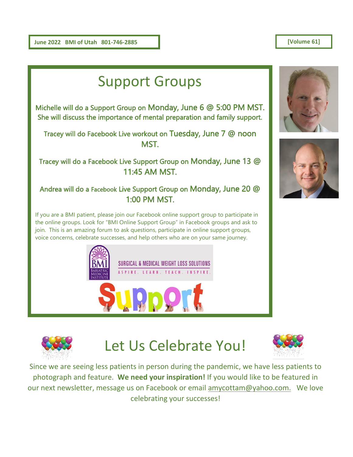**June 2022 BMI of Utah 801-746-2885** 

#### **[Volume 61]**





### Let Us Celebrate You!



Sinc[e we are](http://pngimg.com/download/4954) seeing less patients in person during the pandemic, we have less patients to photograph and feature. **We need your inspiration!** If you would like to be featured in our next newsletter, message us on Facebook or email [amycottam@yahoo.com.](mailto:amycottam@yahoo.com) We love celebrating your successes!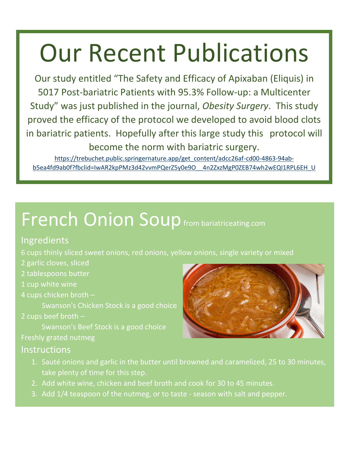# Our Recent Publications

Our study entitled "The Safety and Efficacy of Apixaban (Eliquis) in 5017 Post‐bariatric Patients with 95.3% Follow‐up: a Multicenter Study" was just published in the journal, *Obesity Surgery*. This study proved the efficacy of the protocol we developed to avoid blood clots in bariatric patients. Hopefully after this large study this protocol will become the norm with bariatric surgery.

[https://trebuchet.public.springernature.app/get\\_content/adcc26af-cd00-4863-94ab](https://trebuchet.public.springernature.app/get_content/adcc26af-cd00-4863-94ab-b5ea4fd9ab0f?fbclid=IwAR2kpPMz3d42vvmPQerZ5y0e9O__4n2ZxzMgP0ZEB74wh2wEQI1RPL6EH_U)b5ea4fd9ab0f?fbclid=IwAR2kpPMz3d42vvmPQerZ5y0e9O 4n2ZxzMgP0ZEB74wh2wEQI1RPL6EH\_U

## French Onion Soup from bariatriceating.com

#### Ingredients

6 cups thinly sliced sweet onions, red onions, yellow onions, single variety or mixed

- 2 garlic cloves, sliced
- 2 tablespoons butter
- 1 cup white wine
- 4 cups chicken broth –

Swanson's Chicken Stock is a good choice

2 cups beef broth –

Swanson's Beef Stock is a good choice Freshly grated nutmeg

### **Instructions**

- 1. Sauté onions and garlic in the butter until browned and caramelized, 25 to 30 minutes, take plenty of time for this step.
- 2. Add white wine, chicken and beef broth and cook for 30 to 45 minutes.
- 3. Add 1/4 teaspoon of the nutmeg, or to taste season with salt and pepper.